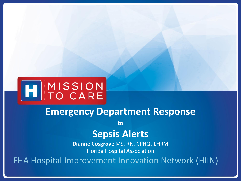

### **Emergency Department Response**

**to**

### **Sepsis Alerts**

**Dianne Cosgrove** MS, RN, CPHQ, LHRM Florida Hospital Association

FHA Hospital Improvement Innovation Network (HIIN)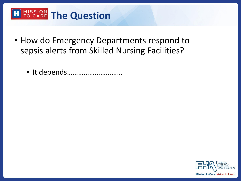# **THE PROPERTIES CONTROLLER THE QUESTION**

- How do Emergency Departments respond to sepsis alerts from Skilled Nursing Facilities?
	- It depends…………………………

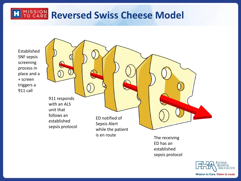## **MISSION Reversed Swiss Cheese Model**

Established SNF sepsis screening process in place and a + screen triggers a 911 call

911 responds with an ALS unit that follows an established sepsis protocol ED notified of Sepsis Alert while the patient is en route<br>
The receiving

> ED has an established

sepsis protocol

FLORIDA **ASSOCIATION** Mission to Care. Vision to Lead.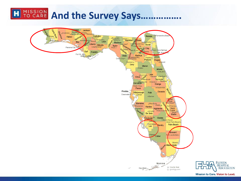# EL MISSION And the Survey Says.

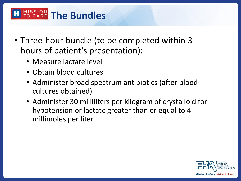### **MISSION** The Bundles

- Three-hour bundle (to be completed within 3 hours of patient's presentation):
	- Measure lactate level
	- Obtain blood cultures
	- Administer broad spectrum antibiotics (after blood cultures obtained)
	- Administer 30 milliliters per kilogram of crystalloid for hypotension or lactate greater than or equal to 4 millimoles per liter

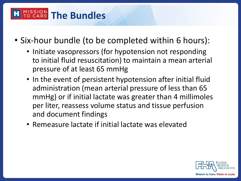#### MISSION<br>TO CARE **The Bundles**

- Six-hour bundle (to be completed within 6 hours):
	- Initiate vasopressors (for hypotension not responding to initial fluid resuscitation) to maintain a mean arterial pressure of at least 65 mmHg
	- In the event of persistent hypotension after initial fluid administration (mean arterial pressure of less than 65 mmHg) or if initial lactate was greater than 4 millimoles per liter, reassess volume status and tissue perfusion and document findings
	- Remeasure lactate if initial lactate was elevated

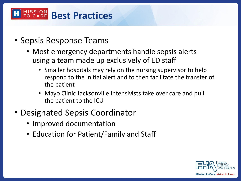#### MISSION **Best Practices**

- Sepsis Response Teams
	- Most emergency departments handle sepsis alerts using a team made up exclusively of ED staff
		- Smaller hospitals may rely on the nursing supervisor to help respond to the initial alert and to then facilitate the transfer of the patient
		- Mayo Clinic Jacksonville Intensivists take over care and pull the patient to the ICU
- Designated Sepsis Coordinator
	- Improved documentation
	- Education for Patient/Family and Staff

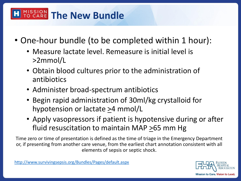### **MISSION The New Bundle**

- One-hour bundle (to be completed within 1 hour):
	- Measure lactate level. Remeasure is initial level is >2mmol/L
	- Obtain blood cultures prior to the administration of antibiotics
	- Administer broad-spectrum antibiotics
	- Begin rapid administration of 30ml/kg crystalloid for hypotension or lactate >4 mmol/L
	- Apply vasopressors if patient is hypotensive during or after fluid resuscitation to maintain MAP  $\geq$ 65 mm Hg

Time zero or time of presentation is defined as the time of triage in the Emergency Department or, if presenting from another care venue, from the earliest chart annotation consistent with all elements of sepsis or septic shock.

<http://www.survivingsepsis.org/Bundles/Pages/default.aspx>

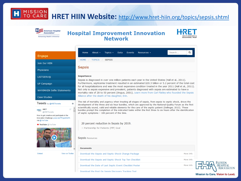#### MISSION<br>TO CARE **HRET HIIN Website:** <http://www.hret-hiin.org/topics/sepsis.shtml>



### **Hospital Improvement Innovation<br>Network**



| Engage                                                                                  | $\alpha$<br>Search<br>About $\sim$<br>Home<br>Topics $\sim$<br>Data<br><b>Events</b><br>Resources -                                                                                                                                                                                                                        |
|-----------------------------------------------------------------------------------------|----------------------------------------------------------------------------------------------------------------------------------------------------------------------------------------------------------------------------------------------------------------------------------------------------------------------------|
| Join Our HIIN                                                                           | HOME / TOPICS<br><b>SEPSIS</b>                                                                                                                                                                                                                                                                                             |
| Physicians                                                                              | <b>Sepsis</b>                                                                                                                                                                                                                                                                                                              |
| <b>LISTSERV®</b>                                                                        | <b>Importance</b>                                                                                                                                                                                                                                                                                                          |
| UP Campaign                                                                             | Sepsis is diagnosed in over one million patients each year in the United States (Hall et al., 2011).<br>Furthermore, septicemia treatment resulted in an estimated \$20.3 billion or 5.2 percent of the total cost                                                                                                         |
| <b>WHYIMHIIN Selfie Statements</b>                                                      | for all hospitalizations and was the most expensive condition treated in the year 2011 (Hall et al., 2011).<br>Not only is sepsis expensive and prevalent, patients diagnosed with sepsis are estimated to have a<br>mortality rate of 28 to 50 percent (Angus, 2001). Learn more from Carl Flatley who founded the Sepsis |
| Case Studies                                                                            | Alliance after the death of his daughter, Erin.                                                                                                                                                                                                                                                                            |
| <b>TWEETS</b> by <b>@HRETtweets</b><br>$\theta$                                         | The risk of mortality and urgency when treating all stages of sepsis, from sepsis to septic shock, drove the<br>development of the three and six hour bundles, which are approved by the National Quality Forum as the first                                                                                               |
| w<br><b>HRET HRET</b><br>@HRETtweets                                                    | scientifically sound, valid and reliable elements for the care of the septic patient (Dellinger, 2013). These<br>$\wedge$<br>bundles prompt the completion of the indicated tasks within the first three to six hours after the identification<br>of septic symptoms - 100 percent of the time.                            |
| How to get creative and participate in the<br>Innovation Challenge youtu.be/TPrgsdn0xFk |                                                                                                                                                                                                                                                                                                                            |
| via @YouTube<br>YouTube @YouTube                                                        | 20 percent reduction in Sepsis by 2019.                                                                                                                                                                                                                                                                                    |
| <b>AY BHAT</b>                                                                          | - Partnership for Patients (PfP) Goal                                                                                                                                                                                                                                                                                      |
|                                                                                         | <b>Sepsis Resources</b>                                                                                                                                                                                                                                                                                                    |
|                                                                                         |                                                                                                                                                                                                                                                                                                                            |
|                                                                                         | <b>Documents</b>                                                                                                                                                                                                                                                                                                           |
| View on Twitter<br>Embed                                                                | Download the Sepsis and Septic Shock Change Package<br>More Info                                                                                                                                                                                                                                                           |
|                                                                                         | Download the Sepsis and Septic Shock Top Ten Checklist<br>More Info                                                                                                                                                                                                                                                        |
|                                                                                         | More Info<br>Download the Date of Last Septic Event Checklist Poster                                                                                                                                                                                                                                                       |
|                                                                                         | Download the Post Op Sepsis Discovery Tracking Tool                                                                                                                                                                                                                                                                        |

Mission to Care. Vision to Lead.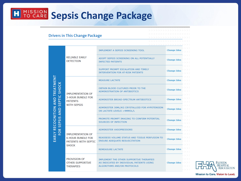# **H** FO CARE Sepsis Change Package

#### **Drivers in This Change Package**

| EARLY RECOGNITION AND TREATMENT<br>SEPSIS AND SEPTIC SHOCK<br>FOR | <b>RELIABLE EARLY</b><br><b>DETECTION</b>                                                     | <b>IMPLEMENT A SEPSIS SCREENING TOOL</b>                                                                                           | <b>Change Idea</b> |
|-------------------------------------------------------------------|-----------------------------------------------------------------------------------------------|------------------------------------------------------------------------------------------------------------------------------------|--------------------|
|                                                                   |                                                                                               | ADOPT SEPSIS SCREENING ON ALL POTENTIALLY<br><b>INFECTED PATIENTS</b>                                                              | <b>Change Idea</b> |
|                                                                   |                                                                                               | SUPPORT PROMPT ESCALATION AND TIMELY<br><b>INTERVENTION FOR AT-RISK PATIENTS</b>                                                   | <b>Change Idea</b> |
|                                                                   | <b>IMPLEMENTATION OF</b><br><b>3-HOUR BUNDLE FOR</b><br><b>PATIENTS</b><br><b>WITH SEPSIS</b> | <b>MEASURE LACTATE</b>                                                                                                             | <b>Change Idea</b> |
|                                                                   |                                                                                               | OBTAIN BLOOD CULTURES PRIOR TO THE<br><b>ADMINISTRATION OF ANTIBIOTICS</b>                                                         | <b>Change Idea</b> |
|                                                                   |                                                                                               | <b>ADMINISTER BROAD-SPECTRUM ANTIBIOTICS</b>                                                                                       | <b>Change Idea</b> |
|                                                                   |                                                                                               | ADMINISTER 30ML/KG CRYSTALLOID FOR HYPOTENSION<br>OR LACTATE LEVELS >4MMOL/L                                                       | <b>Change Idea</b> |
|                                                                   |                                                                                               | PROMOTE PROMPT IMAGING TO CONFIRM POTENTIAL<br><b>SOURCES OF INFECTION</b>                                                         | <b>Change Idea</b> |
|                                                                   | <b>IMPLEMENTATION OF</b><br><b>6-HOUR BUNDLE FOR</b><br>PATIENTS WITH SEPTIC<br><b>SHOCK</b>  | <b>ADMINISTER VASOPRESSORS</b>                                                                                                     | <b>Change Idea</b> |
|                                                                   |                                                                                               | REASSESS VOLUME STATUS AND TISSUE PERFUSION TO<br><b>ENSURE ADEQUATE RESUSCITATION</b>                                             | <b>Change Idea</b> |
|                                                                   |                                                                                               | <b>REMEASURE LACTATE</b>                                                                                                           | <b>Change Idea</b> |
|                                                                   | PROVISION OF<br><b>OTHER SUPPORTIVE</b><br><b>THERAPIES</b>                                   | <b>IMPLEMENT THE OTHER SUPPORTIVE THERAPIES</b><br>AS INDICATED BY INDIVIDUAL PATIENTS USING<br><b>ALGORITHMS AND/OR PROTOCOLS</b> | <b>Change Idea</b> |

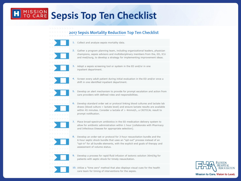#### MISSION<br>TO CARE **Sepsis Top Ten Checklist**

#### 2017 Sepsis Mortality Reduction Top Ten Checklist





- - 3. Adopt a sepsis screening tool or system in the ED and/or in one inpatient department.
	-

4. Screen every adult patient during initial evaluation in the ED and/or once a shift in one identified inpatient department.

5. Develop an alert mechanism to provide for prompt escalation and action from care providers with defined roles and responsibilities.



6. Develop standard order set or protocol linking blood cultures and lactate lab  $draws$  (blood culture = lactate level) and ensure lactate results are available within 45 minutes. Consider a lactate of > 4mmol/L, a CRITICAL result to prompt notification.



7. Place broad-spectrum antibiotics in the ED medication delivery system to allow for antibiotic administration within 1 hour (collaborate with Pharmacy and Infectious Disease for appropriate selection).



8. Develop an order-set or protocol for 3-hour resuscitation bundle and the 6-hour septic shock bundle that uses an "opt-out" process instead of an "opt-in" for all bundle elements, with the explicit end goals of therapy and assessment of volume status.



9. Develop a process for rapid fluid infusion of isotonic solution 30ml/kg for patients with septic shock for timely resuscitation.



10. Utilize a "time zero" method that also displays visual cues for the health care team for timing of interventions for the sepsis.

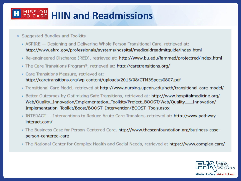## **MISSION HIIN and Readmissions**

- > Suggested Bundles and Toolkits
	- ASPIRE Designing and Delivering Whole Person Transitional Care, retrieved at: http://www.ahrg.gov/professionals/systems/hospital/medicaidreadmitguide/index.html
	- · Re-engineered Discharge (RED), retrieved at: http://www.bu.edu/fammed/projectred/index.html
	- The Care Transitions Program®, retrieved at: http://caretransitions.org/
	- Care Transitions Measure, retrieved at: http://caretransitions.org/wp-content/uploads/2015/08/CTM3Specs0807.pdf
	- · Transitional Care Model, retrieved at http://www.nursing.upenn.edu/ncth/transitional-care-model/
	- Better Outcomes by Optimizing Safe Transitions, retrieved at: http://www.hospitalmedicine.org/ Web/Quality\_Innovation/Implementation\_Toolkits/Project\_BOOST/Web/Quality\_\_\_Innovation/ Implementation\_Toolkit/Boost/BOOST\_Intervention/BOOST\_Tools.aspx
	- INTERACT Interventions to Reduce Acute Care Transfers, retrieved at: http://www.pathwayinteract.com/
	- The Business Case for Person-Centered Care. http://www.thescanfoundation.org/business-caseperson-centered-care
	- The National Center for Complex Health and Social Needs, retrieved at https://www.complex.care/

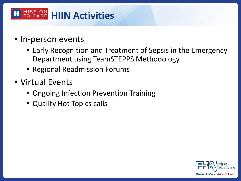### **HISSION HIIN Activities**

- In-person events
	- Early Recognition and Treatment of Sepsis in the Emergency Department using TeamSTEPPS Methodology
	- Regional Readmission Forums
- Virtual Events
	- Ongoing Infection Prevention Training
	- Quality Hot Topics calls